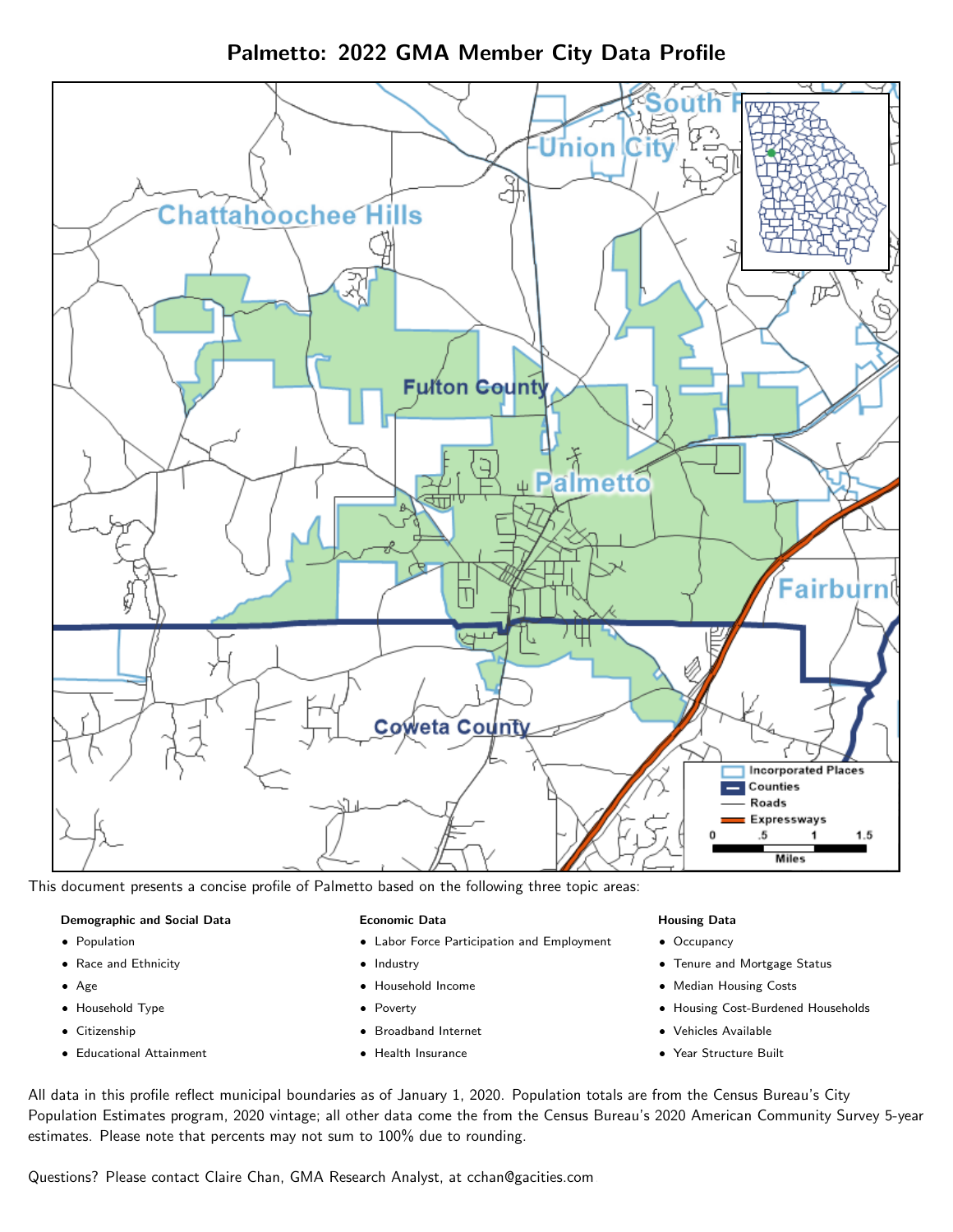Palmetto: 2022 GMA Member City Data Profile



This document presents a concise profile of Palmetto based on the following three topic areas:

#### Demographic and Social Data

- **•** Population
- Race and Ethnicity
- Age
- Household Type
- **Citizenship**
- Educational Attainment

#### Economic Data

- Labor Force Participation and Employment
- Industry
- Household Income
- Poverty
- Broadband Internet
- Health Insurance

### Housing Data

- Occupancy
- Tenure and Mortgage Status
- Median Housing Costs
- Housing Cost-Burdened Households
- Vehicles Available
- Year Structure Built

All data in this profile reflect municipal boundaries as of January 1, 2020. Population totals are from the Census Bureau's City Population Estimates program, 2020 vintage; all other data come the from the Census Bureau's 2020 American Community Survey 5-year estimates. Please note that percents may not sum to 100% due to rounding.

Questions? Please contact Claire Chan, GMA Research Analyst, at [cchan@gacities.com.](mailto:cchan@gacities.com)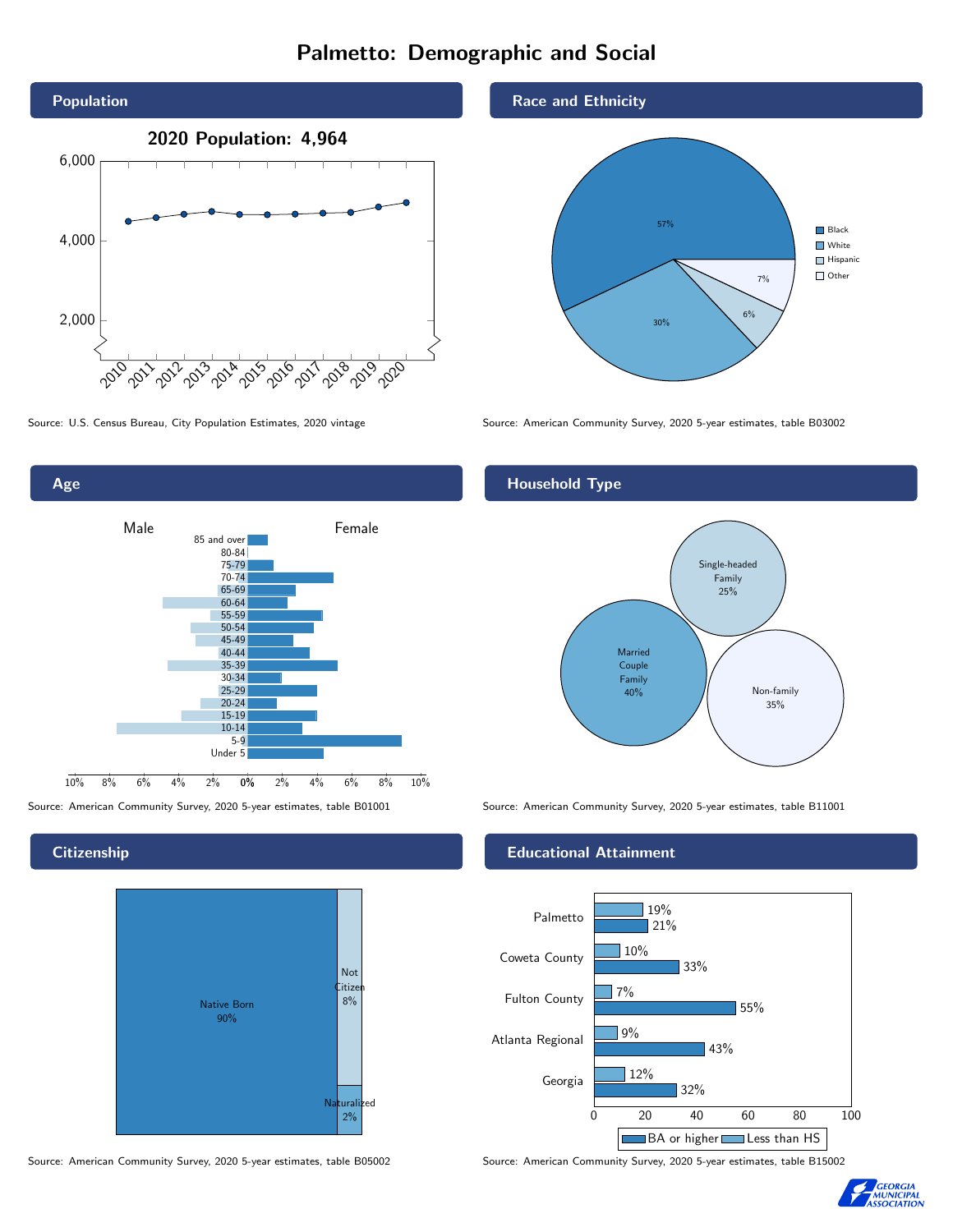# Palmetto: Demographic and Social



0% 2% 4% 6% 8% 10% Male **Female** 10% 8% 6% 4% 2% 85 and over 80-84 75-79 70-74 65-69 60-64 55-59 50-54 45-49 40-44 35-39 30-34 25-29 20-24 15-19 10-14 5-9 Under 5

### **Citizenship**

Age



Source: American Community Survey, 2020 5-year estimates, table B05002 Source: American Community Survey, 2020 5-year estimates, table B15002

### Race and Ethnicity



Source: U.S. Census Bureau, City Population Estimates, 2020 vintage Source: American Community Survey, 2020 5-year estimates, table B03002

## Household Type



Source: American Community Survey, 2020 5-year estimates, table B01001 Source: American Community Survey, 2020 5-year estimates, table B11001

### Educational Attainment



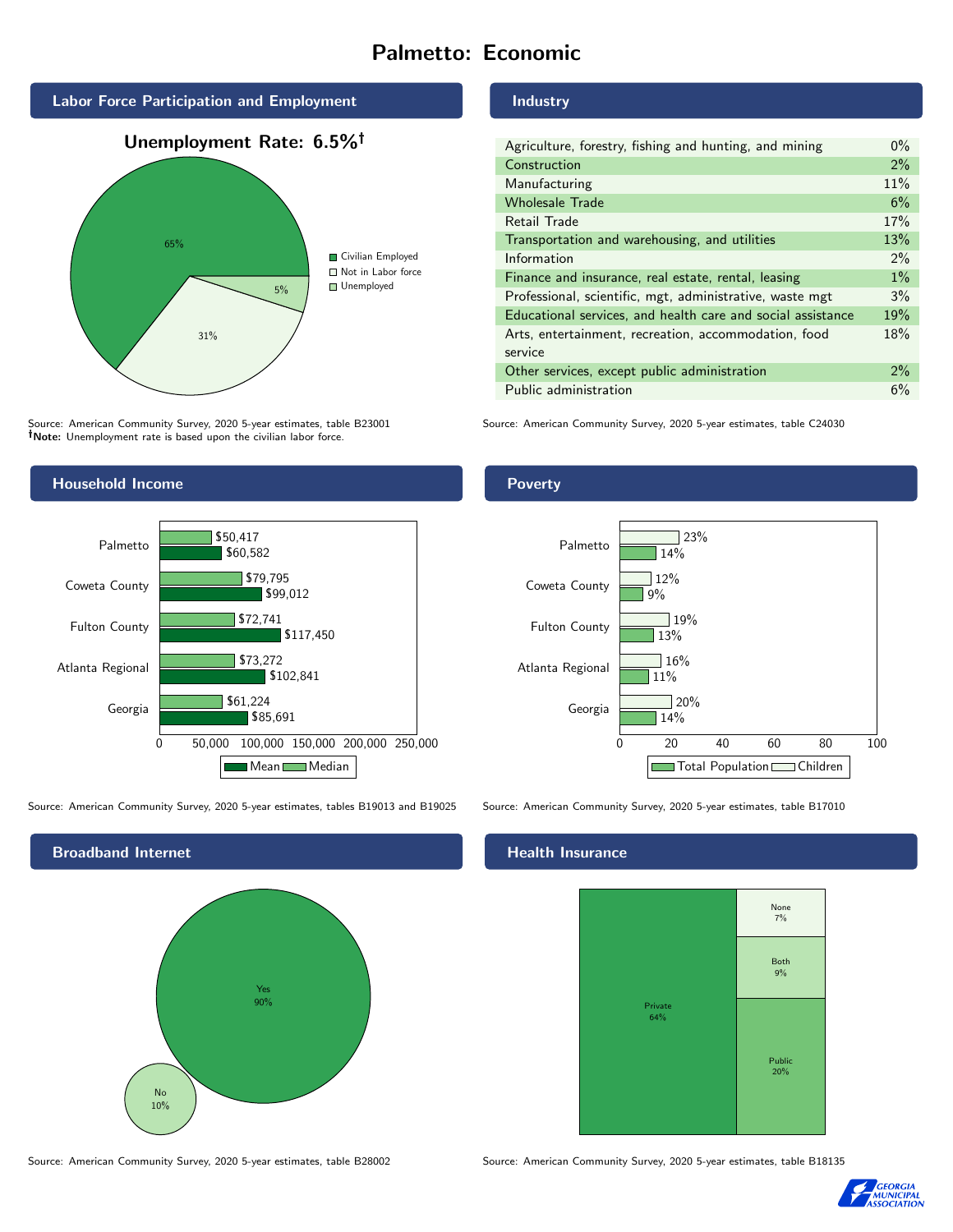# Palmetto: Economic



Source: American Community Survey, 2020 5-year estimates, table B23001 Note: Unemployment rate is based upon the civilian labor force.

## Industry

| Agriculture, forestry, fishing and hunting, and mining      | $0\%$ |
|-------------------------------------------------------------|-------|
| Construction                                                | $2\%$ |
| Manufacturing                                               | 11%   |
| <b>Wholesale Trade</b>                                      | 6%    |
| Retail Trade                                                | 17%   |
| Transportation and warehousing, and utilities               | 13%   |
| Information                                                 | $2\%$ |
| Finance and insurance, real estate, rental, leasing         | $1\%$ |
| Professional, scientific, mgt, administrative, waste mgt    | 3%    |
| Educational services, and health care and social assistance | 19%   |
| Arts, entertainment, recreation, accommodation, food        | 18%   |
| service                                                     |       |
| Other services, except public administration                | $2\%$ |
| Public administration                                       | 6%    |

Source: American Community Survey, 2020 5-year estimates, table C24030



Source: American Community Survey, 2020 5-year estimates, tables B19013 and B19025 Source: American Community Survey, 2020 5-year estimates, table B17010



### Health Insurance



Source: American Community Survey, 2020 5-year estimates, table B28002 Source: American Community Survey, 2020 5-year estimates, table B18135